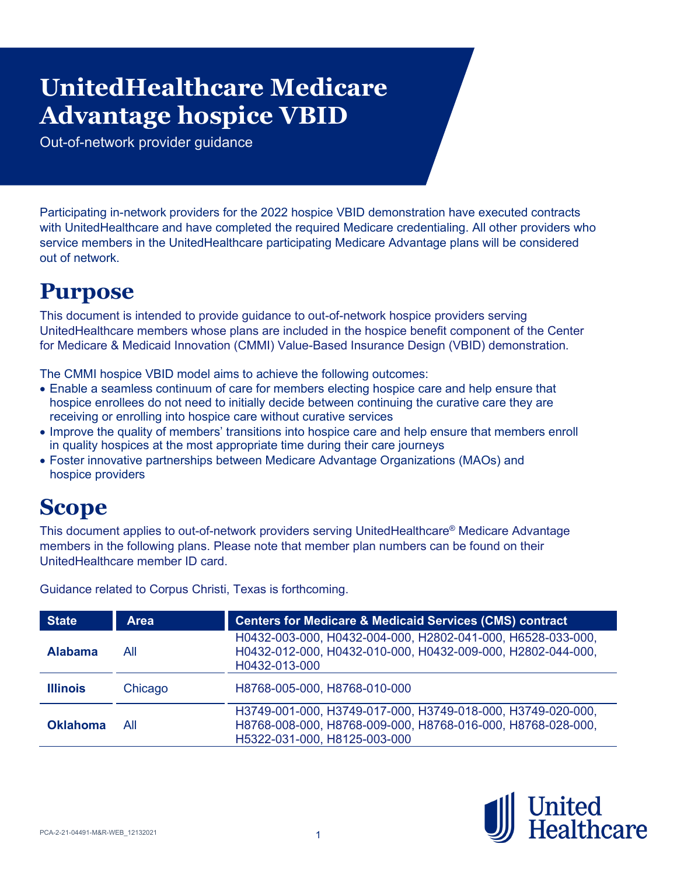# **Advantage hospice VBID UnitedHealthcare Medicare**

Out-of-network provider guidance

Participating in-network providers for the 2022 hospice VBID demonstration have executed contracts with UnitedHealthcare and have completed the required Medicare credentialing. All other providers who service members in the UnitedHealthcare participating Medicare Advantage plans will be considered out of network.

# **Purpose**

This document is intended to provide guidance to out-of-network hospice providers serving UnitedHealthcare members whose plans are included in the hospice benefit component of the Center for Medicare & Medicaid Innovation (CMMI) Value-Based Insurance Design (VBID) demonstration.

The CMMI hospice VBID model aims to achieve the following outcomes:

- Enable a seamless continuum of care for members electing hospice care and help ensure that hospice enrollees do not need to initially decide between continuing the curative care they are receiving or enrolling into hospice care without curative services
- Improve the quality of members' transitions into hospice care and help ensure that members enroll in quality hospices at the most appropriate time during their care journeys
- Foster innovative partnerships between Medicare Advantage Organizations (MAOs) and hospice providers

# **Scope**

This document applies to out-of-network providers serving UnitedHealthcare® Medicare Advantage members in the following plans. Please note that member plan numbers can be found on their UnitedHealthcare member ID card.

| <b>State</b>    | <b>Area</b> | <b>Centers for Medicare &amp; Medicaid Services (CMS) contract</b>                                                                                         |
|-----------------|-------------|------------------------------------------------------------------------------------------------------------------------------------------------------------|
| <b>Alabama</b>  | All         | H0432-003-000, H0432-004-000, H2802-041-000, H6528-033-000,<br>H0432-012-000, H0432-010-000, H0432-009-000, H2802-044-000,<br>H0432-013-000                |
| <b>Illinois</b> | Chicago     | H8768-005-000, H8768-010-000                                                                                                                               |
| <b>Oklahoma</b> | All         | H3749-001-000, H3749-017-000, H3749-018-000, H3749-020-000,<br>H8768-008-000, H8768-009-000, H8768-016-000, H8768-028-000,<br>H5322-031-000, H8125-003-000 |

Guidance related to Corpus Christi, Texas is forthcoming.

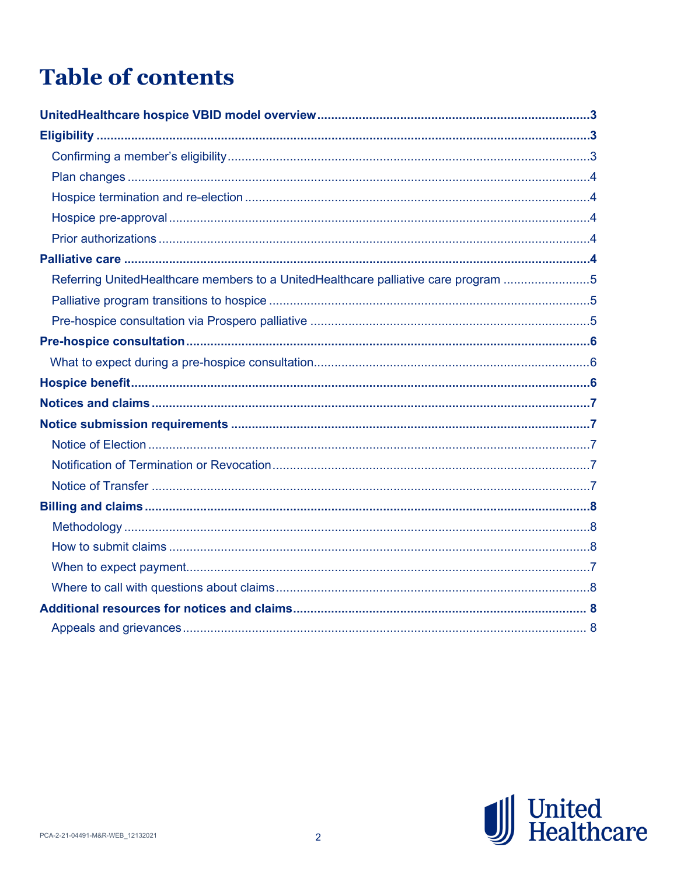# **Table of contents**

| Referring UnitedHealthcare members to a UnitedHealthcare palliative care program 5 |  |
|------------------------------------------------------------------------------------|--|
|                                                                                    |  |
|                                                                                    |  |
|                                                                                    |  |
|                                                                                    |  |
|                                                                                    |  |
|                                                                                    |  |
|                                                                                    |  |
|                                                                                    |  |
|                                                                                    |  |
|                                                                                    |  |
|                                                                                    |  |
|                                                                                    |  |
|                                                                                    |  |
|                                                                                    |  |
|                                                                                    |  |
|                                                                                    |  |
|                                                                                    |  |

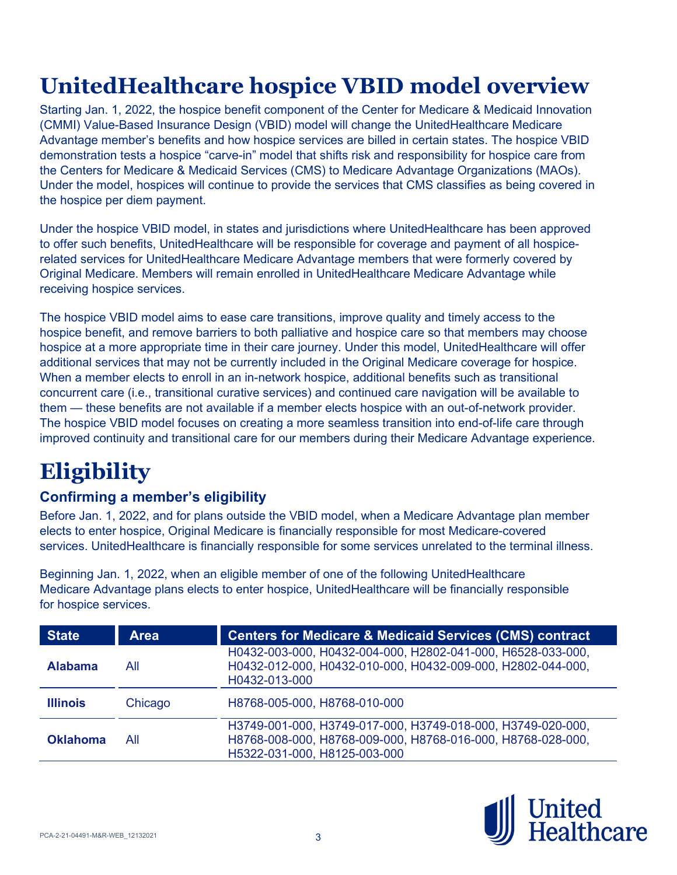# **UnitedHealthcare hospice VBID model overview**

Starting Jan. 1, 2022, the [hospice benefit component](https://innovation.cms.gov/innovation-models/vbid-hospice-benefit-overview) of the Center for Medicare & Medicaid Innovation (CMMI) Value-Based Insurance Design (VBID) model will change the UnitedHealthcare Medicare Advantage member's benefits and how hospice services are billed in certain states. The hospice VBID demonstration tests a hospice "carve-in" model that shifts risk and responsibility for hospice care from the Centers for Medicare & Medicaid Services (CMS) to Medicare Advantage Organizations (MAOs). Under the model, hospices will continue to provide the services that CMS classifies as being covered in the hospice per diem payment.

Under the hospice VBID model, in states and jurisdictions where UnitedHealthcare has been approved to offer such benefits, UnitedHealthcare will be responsible for coverage and payment of all hospicerelated services for UnitedHealthcare Medicare Advantage members that were formerly covered by Original Medicare. Members will remain enrolled in UnitedHealthcare Medicare Advantage while receiving hospice services.

The hospice VBID model aims to ease care transitions, improve quality and timely access to the hospice benefit, and remove barriers to both palliative and hospice care so that members may choose hospice at a more appropriate time in their care journey. Under this model, UnitedHealthcare will offer additional services that may not be currently included in the Original Medicare coverage for hospice. When a member elects to enroll in an in-network hospice, additional benefits such as transitional concurrent care (i.e., transitional curative services) and continued care navigation will be available to them — these benefits are not available if a member elects hospice with an out-of-network provider. The hospice VBID model focuses on creating a more seamless transition into end-of-life care through improved continuity and transitional care for our members during their Medicare Advantage experience.

# **Eligibility**

## **Confirming a member's eligibility**

Before Jan. 1, 2022, and for plans outside the VBID model, when a Medicare Advantage plan member elects to enter hospice, Original Medicare is financially responsible for most Medicare-covered services. UnitedHealthcare is financially responsible for some services unrelated to the terminal illness.

Beginning Jan. 1, 2022, when an eligible member of one of the following UnitedHealthcare Medicare Advantage plans elects to enter hospice, UnitedHealthcare will be financially responsible for hospice services.

| <b>State</b>    | <b>Area</b> | <b>Centers for Medicare &amp; Medicaid Services (CMS) contract</b>                                                                                         |
|-----------------|-------------|------------------------------------------------------------------------------------------------------------------------------------------------------------|
| <b>Alabama</b>  | All         | H0432-003-000, H0432-004-000, H2802-041-000, H6528-033-000,<br>H0432-012-000, H0432-010-000, H0432-009-000, H2802-044-000,<br>H0432-013-000                |
| <b>Illinois</b> | Chicago     | H8768-005-000, H8768-010-000                                                                                                                               |
| <b>Oklahoma</b> | All         | H3749-001-000, H3749-017-000, H3749-018-000, H3749-020-000,<br>H8768-008-000, H8768-009-000, H8768-016-000, H8768-028-000,<br>H5322-031-000, H8125-003-000 |

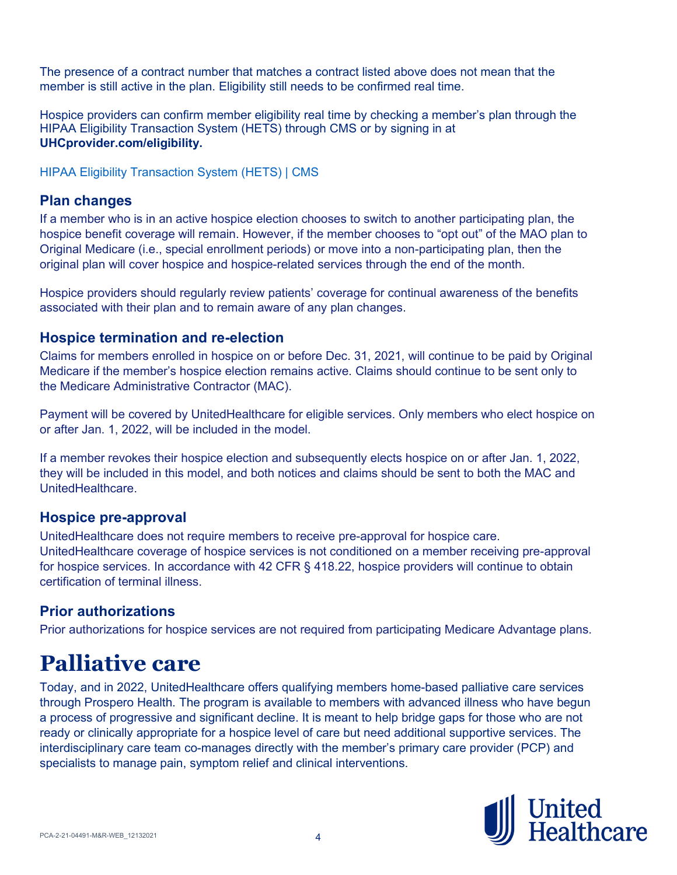The presence of a contract number that matches a contract listed above does not mean that the member is still active in the plan. Eligibility still needs to be confirmed real time.

Hospice providers can confirm member eligibility real time by checking a member's plan through the HIPAA Eligibility Transaction System (HETS) through CMS or by signing in at **UHCprovider.com/eligibility.**

[HIPAA Eligibility Transaction System \(HETS\) | CMS](https://www.cms.gov/Research-Statistics-Data-and-Systems/CMS-Information-Technology/HETSHelp)

## **Plan changes**

If a member who is in an active hospice election chooses to switch to another participating plan, the hospice benefit coverage will remain. However, if the member chooses to "opt out" of the MAO plan to Original Medicare (i.e., special enrollment periods) or move into a non-participating plan, then the original plan will cover hospice and hospice-related services through the end of the month.

Hospice providers should regularly review patients' coverage for continual awareness of the benefits associated with their plan and to remain aware of any plan changes.

## **Hospice termination and re-election**

Claims for members enrolled in hospice on or before Dec. 31, 2021, will continue to be paid by Original Medicare if the member's hospice election remains active. Claims should continue to be sent only to the Medicare Administrative Contractor (MAC).

Payment will be covered by UnitedHealthcare for eligible services. Only members who elect hospice on or after Jan. 1, 2022, will be included in the model.

If a member revokes their hospice election and subsequently elects hospice on or after Jan. 1, 2022, they will be included in this model, and both notices and claims should be sent to both the MAC and UnitedHealthcare.

### **Hospice pre-approval**

UnitedHealthcare does not require members to receive pre-approval for hospice care. UnitedHealthcare coverage of hospice services is not conditioned on a member receiving pre-approval for hospice services. In accordance with 42 CFR § 418.22, hospice providers will continue to obtain certification of terminal illness.

## **Prior authorizations**

Prior authorizations for hospice services are not required from participating Medicare Advantage plans.

# **Palliative care**

Today, and in 2022, UnitedHealthcare offers qualifying members home-based palliative care services through Prospero Health. The program is available to members with advanced illness who have begun a process of progressive and significant decline. It is meant to help bridge gaps for those who are not ready or clinically appropriate for a hospice level of care but need additional supportive services. The interdisciplinary care team co-manages directly with the member's primary care provider (PCP) and specialists to manage pain, symptom relief and clinical interventions.

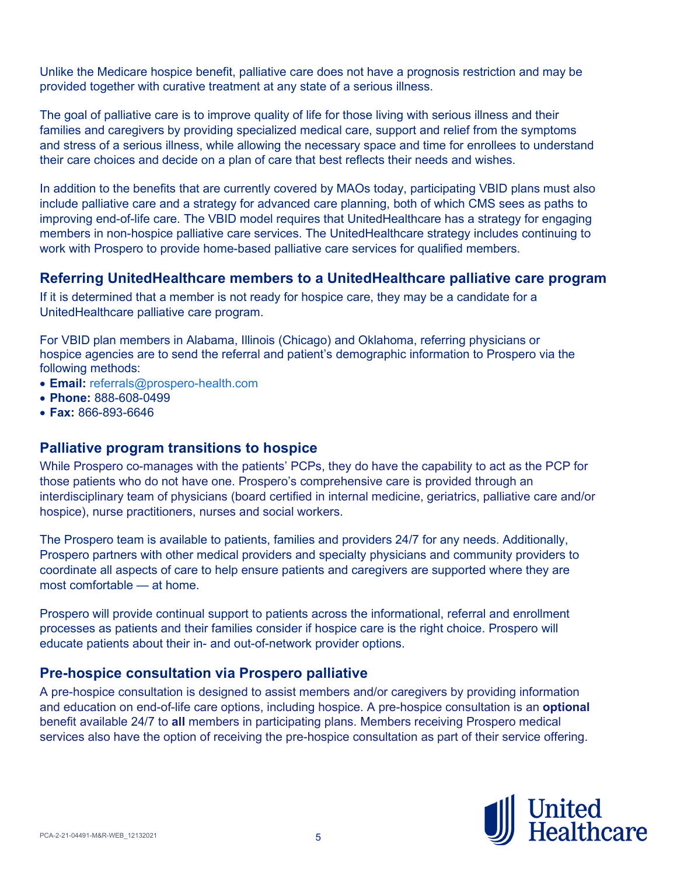Unlike the Medicare hospice benefit, palliative care does not have a prognosis restriction and may be provided together with curative treatment at any state of a serious illness.

The goal of palliative care is to improve quality of life for those living with serious illness and their families and caregivers by providing specialized medical care, support and relief from the symptoms and stress of a serious illness, while allowing the necessary space and time for enrollees to understand their care choices and decide on a plan of care that best reflects their needs and wishes.

In addition to the benefits that are currently covered by MAOs today, participating VBID plans must also include palliative care and a strategy for advanced care planning, both of which CMS sees as paths to improving end-of-life care. The VBID model requires that UnitedHealthcare has a strategy for engaging members in non-hospice palliative care services. The UnitedHealthcare strategy includes continuing to work with Prospero to provide home-based palliative care services for qualified members.

### **Referring UnitedHealthcare members to a UnitedHealthcare palliative care program**

If it is determined that a member is not ready for hospice care, they may be a candidate for a UnitedHealthcare palliative care program.

For VBID plan members in Alabama, Illinois (Chicago) and Oklahoma, referring physicians or hospice agencies are to send the referral and patient's demographic information to Prospero via the following methods:

- **Email:** [referrals@prospero-health.com](mailto:referrals@prospero-health.com)
- **Phone:** 888-608-0499
- **Fax:** 866-893-6646

### **Palliative program transitions to hospice**

While Prospero co-manages with the patients' PCPs, they do have the capability to act as the PCP for those patients who do not have one. Prospero's comprehensive care is provided through an interdisciplinary team of physicians (board certified in internal medicine, geriatrics, palliative care and/or hospice), nurse practitioners, nurses and social workers.

The Prospero team is available to patients, families and providers 24/7 for any needs. Additionally, Prospero partners with other medical providers and specialty physicians and community providers to coordinate all aspects of care to help ensure patients and caregivers are supported where they are most comfortable — at home.

Prospero will provide continual support to patients across the informational, referral and enrollment processes as patients and their families consider if hospice care is the right choice. Prospero will educate patients about their in- and out-of-network provider options.

### **Pre-hospice consultation via Prospero palliative**

A pre-hospice consultation is designed to assist members and/or caregivers by providing information and education on end-of-life care options, including hospice. A pre-hospice consultation is an **optional** benefit available 24/7 to **all** members in participating plans. Members receiving Prospero medical services also have the option of receiving the pre-hospice consultation as part of their service offering.

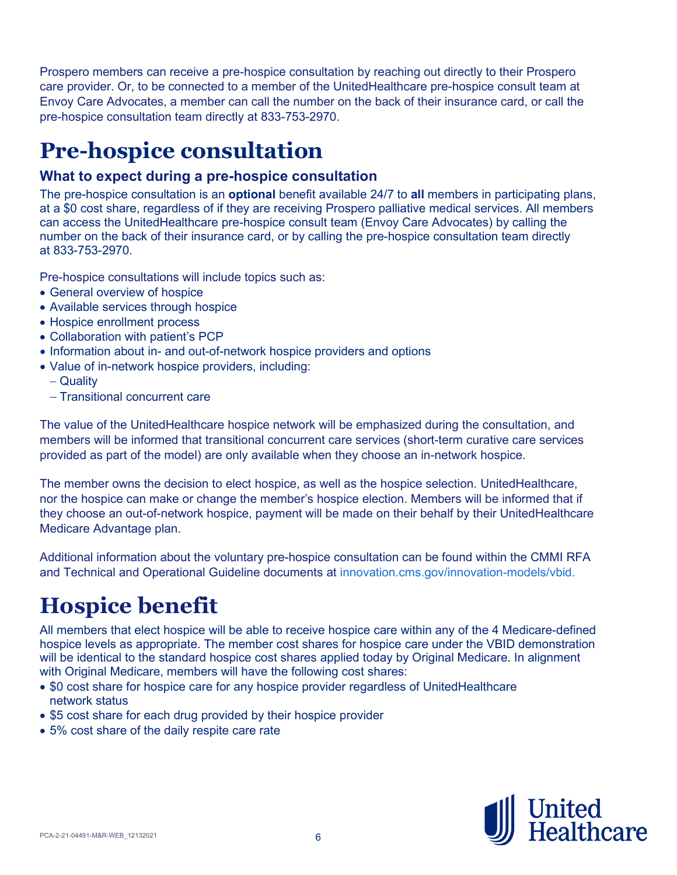Prospero members can receive a pre-hospice consultation by reaching out directly to their Prospero care provider. Or, to be connected to a member of the UnitedHealthcare pre-hospice consult team at Envoy Care Advocates, a member can call the number on the back of their insurance card, or call the pre-hospice consultation team directly at 833-753-2970.

# **Pre-hospice consultation**

## **What to expect during a pre-hospice consultation**

The pre-hospice consultation is an **optional** benefit available 24/7 to **all** members in participating plans, at a \$0 cost share, regardless of if they are receiving Prospero palliative medical services. All members can access the UnitedHealthcare pre-hospice consult team (Envoy Care Advocates) by calling the number on the back of their insurance card, or by calling the pre-hospice consultation team directly at 833-753-2970.

Pre-hospice consultations will include topics such as:

- General overview of hospice
- Available services through hospice
- Hospice enrollment process
- Collaboration with patient's PCP
- Information about in- and out-of-network hospice providers and options
- Value of in-network hospice providers, including:
	- − Quality
	- − Transitional concurrent care

The value of the UnitedHealthcare hospice network will be emphasized during the consultation, and members will be informed that transitional concurrent care services (short-term curative care services provided as part of the model) are only available when they choose an in-network hospice.

The member owns the decision to elect hospice, as well as the hospice selection. UnitedHealthcare, nor the hospice can make or change the member's hospice election. Members will be informed that if they choose an out-of-network hospice, payment will be made on their behalf by their UnitedHealthcare Medicare Advantage plan.

Additional information about the voluntary pre-hospice consultation can be found within the CMMI RFA and Technical and Operational Guideline documents at [innovation.cms.gov/innovation-models/vbid.](https://innovation.cms.gov/innovation-models/vbid)

# **Hospice benefit**

All members that elect hospice will be able to receive hospice care within any of the 4 Medicare-defined hospice levels as appropriate. The member cost shares for hospice care under the VBID demonstration will be identical to the standard hospice cost shares applied today by Original Medicare. In alignment with Original Medicare, members will have the following cost shares:

- \$0 cost share for hospice care for any hospice provider regardless of UnitedHealthcare network status
- \$5 cost share for each drug provided by their hospice provider
- 5% cost share of the daily respite care rate

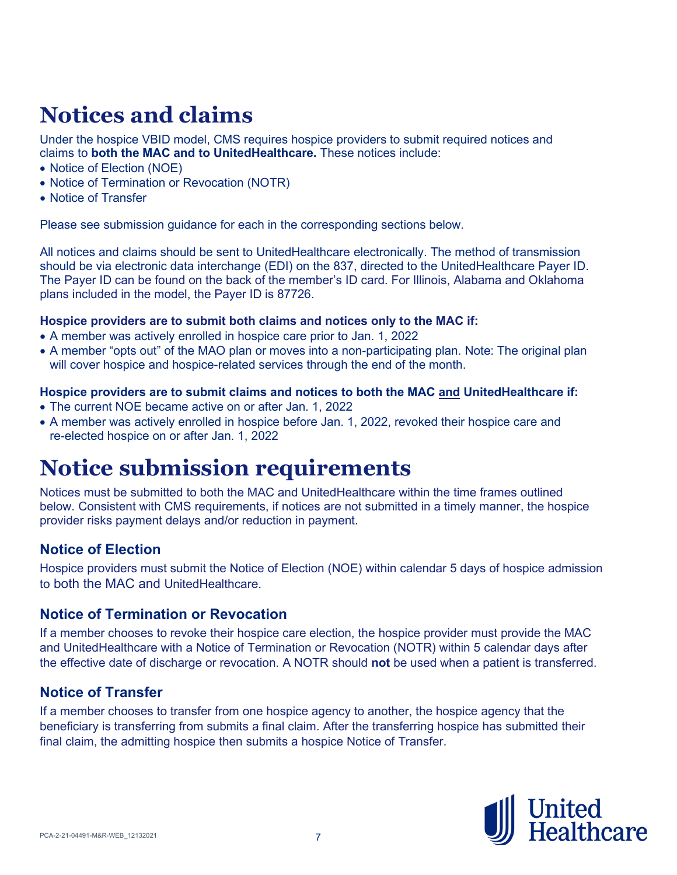# **Notices and claims**

Under the hospice VBID model, CMS requires hospice providers to submit required notices and claims to **both the MAC and to UnitedHealthcare.** These notices include:

- Notice of Election (NOE)
- Notice of Termination or Revocation (NOTR)
- Notice of Transfer

Please see submission guidance for each in the corresponding sections below.

All notices and claims should be sent to UnitedHealthcare electronically. The method of transmission should be via electronic data interchange (EDI) on the 837, directed to the UnitedHealthcare Payer ID. The Payer ID can be found on the back of the member's ID card. For Illinois, Alabama and Oklahoma plans included in the model, the Payer ID is 87726.

#### **Hospice providers are to submit both claims and notices only to the MAC if:**

- A member was actively enrolled in hospice care prior to Jan. 1, 2022
- A member "opts out" of the MAO plan or moves into a non-participating plan. Note: The original plan will cover hospice and hospice-related services through the end of the month.

#### **Hospice providers are to submit claims and notices to both the MAC and UnitedHealthcare if:**

- The current NOE became active on or after Jan. 1, 2022
- A member was actively enrolled in hospice before Jan. 1, 2022, revoked their hospice care and re-elected hospice on or after Jan. 1, 2022

# **Notice submission requirements**

Notices must be submitted to both the MAC and UnitedHealthcare within the time frames outlined below. Consistent with CMS requirements, if notices are not submitted in a timely manner, the hospice provider risks payment delays and/or reduction in payment.

### **Notice of Election**

Hospice providers must submit the Notice of Election (NOE) within calendar 5 days of hospice admission to both the MAC and UnitedHealthcare.

### **Notice of Termination or Revocation**

If a member chooses to revoke their hospice care election, the hospice provider must provide the MAC and UnitedHealthcare with a Notice of Termination or Revocation (NOTR) within 5 calendar days after the effective date of discharge or revocation. A NOTR should **not** be used when a patient is transferred.

### **Notice of Transfer**

If a member chooses to transfer from one hospice agency to another, the hospice agency that the beneficiary is transferring from submits a final claim. After the transferring hospice has submitted their final claim, the admitting hospice then submits a hospice Notice of Transfer.